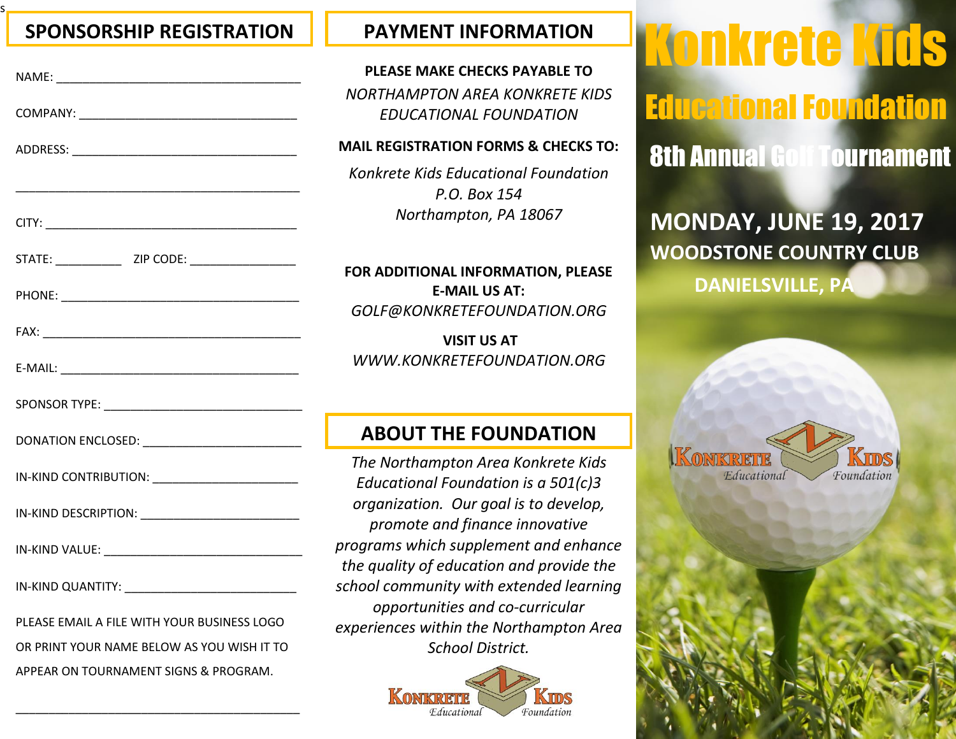## **SPONSORSHIP REGISTRATION PAYMENT INFORMATION**

s

| IN-KIND CONTRIBUTION: _________________________ |            |
|-------------------------------------------------|------------|
|                                                 |            |
|                                                 | ľ          |
|                                                 | S          |
| PLEASE EMAIL A FILE WITH YOUR BUSINESS LOGO     | $\epsilon$ |
| OR PRINT YOUR NAME BELOW AS YOU WISH IT TO      |            |
| APPEAR ON TOURNAMENT SIGNS & PROGRAM.           |            |

\_\_\_\_\_\_\_\_\_\_\_\_\_\_\_\_\_\_\_\_\_\_\_\_\_\_\_\_\_\_\_\_\_\_\_\_\_\_\_\_\_\_\_

# **PLEASE MAKE CHECKS PAYABLE TO**

*NORTHAMPTON AREA KONKRETE KIDS EDUCATIONAL FOUNDATION*

### **MAIL REGISTRATION FORMS & CHECKS TO:**

*Konkrete Kids Educational Foundation P.O. Box 154 Northampton, PA 18067*

**FOR ADDITIONAL INFORMATION, PLEASE E-MAIL US AT:** *GOLF@KONKRETEFOUNDATION.ORG*

**VISIT US AT** *WWW.KONKRETEFOUNDATION.ORG*

## **ABOUT THE FOUNDATION**

*The Northampton Area Konkrete Kids Educational Foundation is a 501(c)3 organization. Our goal is to develop, promote and finance innovative programs which supplement and enhance the quality of education and provide the school community with extended learning opportunities and co-curricular experiences within the Northampton Area School District.*



8th Annual Golf Tournament Konkrete Kids Educational Foundation

**MONDAY, JUNE 19, 2017 WOODSTONE COUNTRY CLUB DANIELSVILLE, PA**